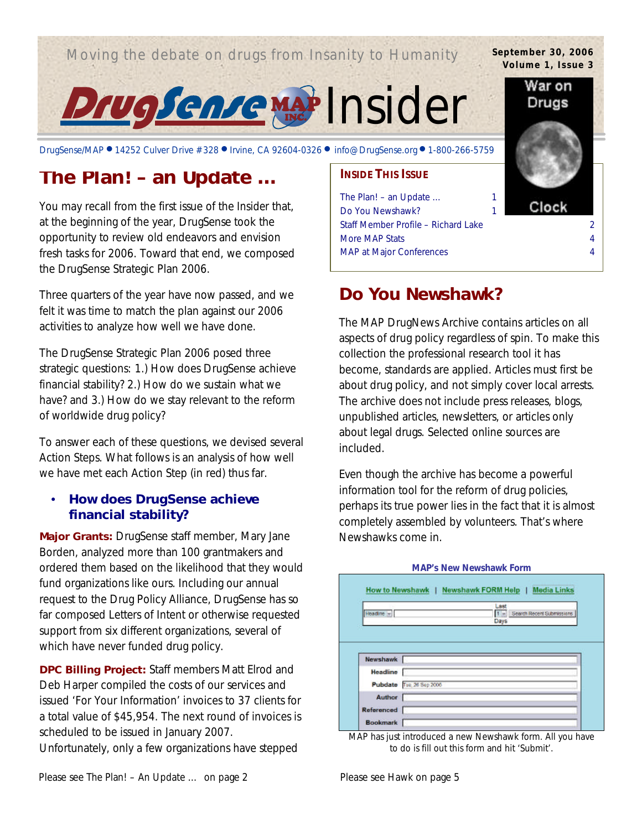# Moving the debate on drugs from Insanity to Humanity



DrugSense/MAP ● 14252 Culver Drive #328 ● Irvine, CA 92604-0326 ● info@DrugSense.org ● 1-800-266-5759

# **The Plan! – an Update …**

You may recall from the first issue of the *Insider* that, at the beginning of the year, DrugSense took the opportunity to review old endeavors and envision fresh tasks for 2006. Toward that end, we composed the DrugSense Strategic Plan 2006.

Three quarters of the year have now passed, and we felt it was time to match the plan against our 2006 activities to analyze how well we have done.

The DrugSense Strategic Plan 2006 posed three strategic questions: 1.) How does DrugSense achieve financial stability? 2.) How do we sustain what we have? and 3.) How do we stay relevant to the reform of worldwide drug policy?

To answer each of these questions, we devised several Action Steps. What follows is an analysis of how well we have met each Action Step (in red) thus far.

## • **How does DrugSense achieve financial stability?**

**Major Grants:** DrugSense staff member, Mary Jane Borden, analyzed more than 100 grantmakers and ordered them based on the likelihood that they would fund organizations like ours. Including our annual request to the Drug Policy Alliance, DrugSense has so far composed Letters of Intent or otherwise requested support from six different organizations, several of which have never funded drug policy.

**DPC Billing Project:** Staff members Matt Elrod and Deb Harper compiled the costs of our services and issued 'For Your Information' invoices to 37 clients for a total value of \$45,954. The next round of invoices is scheduled to be issued in January 2007. Unfortunately, only a few organizations have stepped

**INSIDE THIS ISSUE** The Plan! – an Update … 1 Do You Newshawk? Staff Member Profile – Richard Lake 2 More MAP Stats 4 MAP at Major Conferences 4

# **Do You Newshawk?**

The MAP DrugNews Archive contains articles on all aspects of drug policy regardless of spin. To make this collection the professional research tool it has become, standards are applied. Articles must first be about drug policy, and not simply cover local arrests. The archive does not include press releases, blogs, unpublished articles, newsletters, or articles only about legal drugs. Selected online sources are included.

Even though the archive has become a powerful information tool for the reform of drug policies, perhaps its true power lies in the fact that it is almost completely assembled by volunteers. That's where Newshawks come in.

| Headine + |                         | Last<br>$1 -$<br>Search Recent Submissions |
|-----------|-------------------------|--------------------------------------------|
|           |                         | Days                                       |
|           |                         |                                            |
|           |                         |                                            |
|           |                         |                                            |
| Newshawk  |                         |                                            |
| Headline  |                         |                                            |
|           |                         |                                            |
|           |                         |                                            |
|           | Pubdate Tse 26 Sep 2006 |                                            |
| Author    |                         |                                            |

MAP has just introduced a new Newshawk form. All you have to do is fill out this form and hit 'Submit'.

#### **MAP's New Newshawk Form**

Please see *The Plan! – An Update ...* on page 2 Please see *Hawk* on page 5



War on Drugs Clock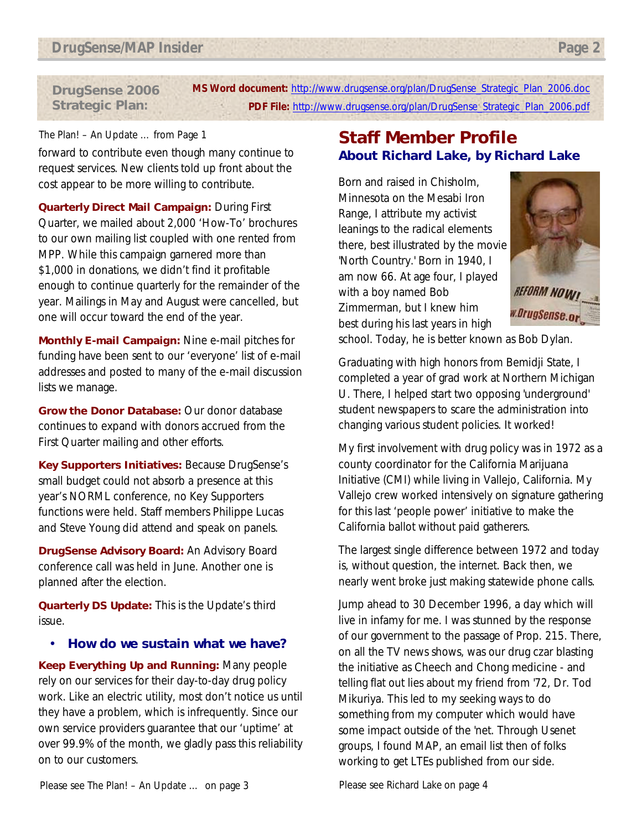**MS Word document:** http://www.drugsense.org/plan/DrugSense\_Strategic\_Plan\_2006.doc **PDF File:** http://www.drugsense.org/plan/DrugSense\_Strategic\_Plan\_2006.pdf **DrugSense 2006 Strategic Plan:**

### *The Plan! – An Update …* from Page 1

forward to contribute even though many continue to request services. New clients told up front about the cost appear to be more willing to contribute.

**Quarterly Direct Mail Campaign:** During First Quarter, we mailed about 2,000 'How-To' brochures to our own mailing list coupled with one rented from MPP. While this campaign garnered more than \$1,000 in donations, we didn't find it profitable enough to continue quarterly for the remainder of the year. Mailings in May and August were cancelled, but one will occur toward the end of the year.

**Monthly E-mail Campaign:** Nine e-mail pitches for funding have been sent to our 'everyone' list of e-mail addresses and posted to many of the e-mail discussion lists we manage.

**Grow the Donor Database:** Our donor database continues to expand with donors accrued from the First Quarter mailing and other efforts.

**Key Supporters Initiatives:** Because DrugSense's small budget could not absorb a presence at this year's NORML conference, no Key Supporters functions were held. Staff members Philippe Lucas and Steve Young did attend and speak on panels.

**DrugSense Advisory Board:** An Advisory Board conference call was held in June. Another one is planned after the election.

**Quarterly DS Update:** This is the *Update's* third issue.

• **How do we sustain what we have?**

**Keep Everything Up and Running:** Many people rely on our services for their day-to-day drug policy work. Like an electric utility, most don't notice us until they have a problem, which is infrequently. Since our own service providers guarantee that our 'uptime' at over 99.9% of the month, we gladly pass this reliability on to our customers.

# **Staff Member Profile About Richard Lake, by Richard Lake**

Born and raised in Chisholm, Minnesota on the Mesabi Iron Range, I attribute my activist leanings to the radical elements there, best illustrated by the movie 'North Country.' Born in 1940, I am now 66. At age four, I played with a boy named Bob Zimmerman, but I knew him best during his last years in high



school. Today, he is better known as Bob Dylan.

Graduating with high honors from Bemidji State, I completed a year of grad work at Northern Michigan U. There, I helped start two opposing 'underground' student newspapers to scare the administration into changing various student policies. It worked!

My first involvement with drug policy was in 1972 as a county coordinator for the California Marijuana Initiative (CMI) while living in Vallejo, California. My Vallejo crew worked intensively on signature gathering for this last 'people power' initiative to make the California ballot without paid gatherers.

The largest single difference between 1972 and today is, without question, the internet. Back then, we nearly went broke just making statewide phone calls.

Jump ahead to 30 December 1996, a day which will live in infamy for me. I was stunned by the response of our government to the passage of Prop. 215. There, on all the TV news shows, was our drug czar blasting the initiative as Cheech and Chong medicine - and telling flat out lies about my friend from '72, Dr. Tod Mikuriya. This led to my seeking ways to do something from my computer which would have some impact outside of the 'net. Through Usenet groups, I found MAP, an email list then of folks working to get LTEs published from our side.

Please see *The Plan! – An Update …* on page 3 Please see *Richard Lake* on page 4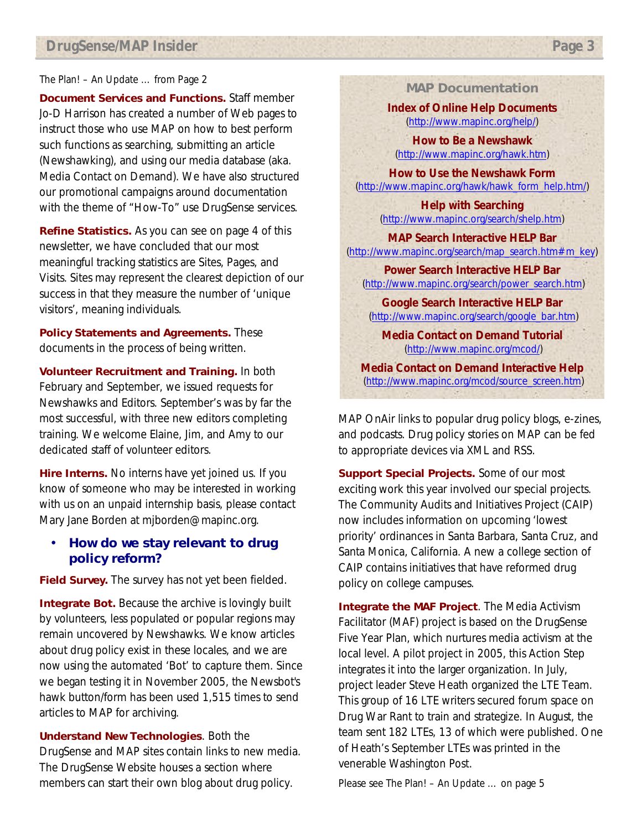### *The Plan! – An Update …* from Page 2

**Document Services and Functions.** Staff member Jo-D Harrison has created a number of Web pages to instruct those who use MAP on how to best perform such functions as searching, submitting an article (Newshawking), and using our media database (aka. Media Contact on Demand). We have also structured our promotional campaigns around documentation with the theme of "How-To" use DrugSense services.

**Refine Statistics.** As you can see on page 4 of this newsletter, we have concluded that our most meaningful tracking statistics are Sites, Pages, and Visits. Sites may represent the clearest depiction of our success in that they measure the number of 'unique visitors', meaning individuals.

**Policy Statements and Agreements.** These documents in the process of being written.

**Volunteer Recruitment and Training.** In both February and September, we issued requests for Newshawks and Editors. September's was by far the most successful, with three new editors completing training. We welcome Elaine, Jim, and Amy to our dedicated staff of volunteer editors.

**Hire Interns.** No interns have yet joined us. If you know of someone who may be interested in working with us on an unpaid internship basis, please contact Mary Jane Borden at mjborden@mapinc.org.

## • **How do we stay relevant to drug policy reform?**

**Field Survey.** The survey has not yet been fielded.

**Integrate Bot.** Because the archive is lovingly built by volunteers, less populated or popular regions may remain uncovered by Newshawks. We know articles about drug policy exist in these locales, and we are now using the automated 'Bot' to capture them. Since we began testing it in November 2005, the Newsbot's hawk button/form has been used 1,515 times to send articles to MAP for archiving.

**Understand New Technologies**. Both the DrugSense and MAP sites contain links to new media. The DrugSense Website houses a section where members can start their own blog about drug policy.

### **MAP Documentation**

**Index of Online Help Documents** (http://www.mapinc.org/help/)

**How to Be a Newshawk** (http://www.mapinc.org/hawk.htm)

**How to Use the Newshawk Form** (http://www.mapinc.org/hawk/hawk\_form\_help.htm/)

> **Help with Searching** (http://www.mapinc.org/search/shelp.htm)

**MAP Search Interactive HELP Bar** (http://www.mapinc.org/search/map\_search.htm#m\_key)

**Power Search Interactive HELP Bar** (http://www.mapinc.org/search/power\_search.htm)

**Google Search Interactive HELP Bar** (http://www.mapinc.org/search/google\_bar.htm)

**Media Contact on Demand Tutorial** (http://www.mapinc.org/mcod/)

**Media Contact on Demand Interactive Help** (http://www.mapinc.org/mcod/source\_screen.htm)

MAP OnAir links to popular drug policy blogs, e-zines, and podcasts. Drug policy stories on MAP can be fed to appropriate devices via XML and RSS.

**Support Special Projects.** Some of our most exciting work this year involved our special projects. The Community Audits and Initiatives Project (CAIP) now includes information on upcoming 'lowest priority' ordinances in Santa Barbara, Santa Cruz, and Santa Monica, California. A new a college section of CAIP contains initiatives that have reformed drug policy on college campuses.

**Integrate the MAF Project**. The Media Activism Facilitator (MAF) project is based on the DrugSense Five Year Plan, which nurtures media activism at the local level. A pilot project in 2005, this Action Step integrates it into the larger organization. In July, project leader Steve Heath organized the LTE Team. This group of 16 LTE writers secured forum space on Drug War Rant to train and strategize. In August, the team sent 182 LTEs, 13 of which were published. One of Heath's September LTEs was printed in the venerable *Washington Post*.

Please see *The Plan! – An Update …* on page 5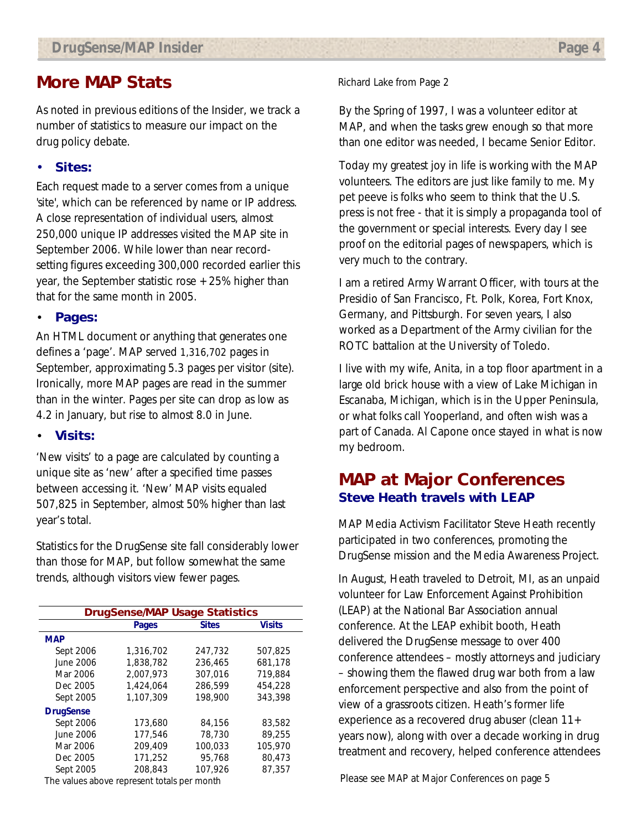# **More MAP Stats**

As noted in previous editions of the *Insider*, we track a number of statistics to measure our impact on the drug policy debate.

## • **Sites:**

Each request made to a server comes from a unique 'site', which can be referenced by name or IP address. A close representation of individual users, almost 250,000 unique IP addresses visited the MAP site in September 2006. While lower than near recordsetting figures exceeding 300,000 recorded earlier this year, the September statistic rose  $+25%$  higher than that for the same month in 2005.

### • **Pages:**

An HTML document or anything that generates one defines a 'page'. MAP served 1,316,702 pages in September, approximating 5.3 pages per visitor (site). Ironically, more MAP pages are read in the summer than in the winter. Pages per site can drop as low as 4.2 in January, but rise to almost 8.0 in June.

### • **Visits:**

'New visits' to a page are calculated by counting a unique site as 'new' after a specified time passes between accessing it. 'New' MAP visits equaled 507,825 in September, almost 50% higher than last year's total.

Statistics for the DrugSense site fall considerably lower than those for MAP, but follow somewhat the same trends, although visitors view fewer pages.

| <b>DrugSense/MAP Usage Statistics</b> |           |              |               |  |  |  |  |
|---------------------------------------|-----------|--------------|---------------|--|--|--|--|
|                                       | Pages     | <b>Sites</b> | <b>Visits</b> |  |  |  |  |
| <b>MAP</b>                            |           |              |               |  |  |  |  |
| Sept 2006                             | 1,316,702 | 247,732      | 507.825       |  |  |  |  |
| June 2006                             | 1,838,782 | 236,465      | 681,178       |  |  |  |  |
| Mar 2006                              | 2.007.973 | 307.016      | 719.884       |  |  |  |  |
| Dec 2005                              | 1.424.064 | 286.599      | 454,228       |  |  |  |  |
| Sept 2005                             | 1.107.309 | 198,900      | 343,398       |  |  |  |  |
| <b>DrugSense</b>                      |           |              |               |  |  |  |  |
| Sept 2006                             | 173,680   | 84,156       | 83,582        |  |  |  |  |
| June 2006                             | 177,546   | 78,730       | 89.255        |  |  |  |  |
| Mar 2006                              | 209.409   | 100,033      | 105,970       |  |  |  |  |
| Dec 2005                              | 171.252   | 95.768       | 80.473        |  |  |  |  |
| Sept 2005                             | 208.843   | 107,926      | 87,357        |  |  |  |  |
|                                       |           |              |               |  |  |  |  |

The values above represent totals per month

#### *Richard Lake* from Page 2

By the Spring of 1997, I was a volunteer editor at MAP, and when the tasks grew enough so that more than one editor was needed, I became Senior Editor.

Today my greatest joy in life is working with the MAP volunteers. The editors are just like family to me. My pet peeve is folks who seem to think that the U.S. press is not free - that it is simply a propaganda tool of the government or special interests. Every day I see proof on the editorial pages of newspapers, which is very much to the contrary.

I am a retired Army Warrant Officer, with tours at the Presidio of San Francisco, Ft. Polk, Korea, Fort Knox, Germany, and Pittsburgh. For seven years, I also worked as a Department of the Army civilian for the ROTC battalion at the University of Toledo.

I live with my wife, Anita, in a top floor apartment in a large old brick house with a view of Lake Michigan in Escanaba, Michigan, which is in the Upper Peninsula, or what folks call Yooperland, and often wish was a part of Canada. Al Capone once stayed in what is now my bedroom.

# **MAP at Major Conferences Steve Heath travels with LEAP**

MAP Media Activism Facilitator Steve Heath recently participated in two conferences, promoting the DrugSense mission and the Media Awareness Project.

In August, Heath traveled to Detroit, MI, as an unpaid volunteer for Law Enforcement Against Prohibition (LEAP) at the National Bar Association annual conference. At the LEAP exhibit booth, Heath delivered the DrugSense message to over 400 conference attendees – mostly attorneys and judiciary – showing them the flawed drug war both from a law enforcement perspective and also from the point of view of a grassroots citizen. Heath's former life experience as a recovered drug abuser (clean 11+ years now), along with over a decade working in drug treatment and recovery, helped conference attendees

Please see *MAP at Major Conferences* on page 5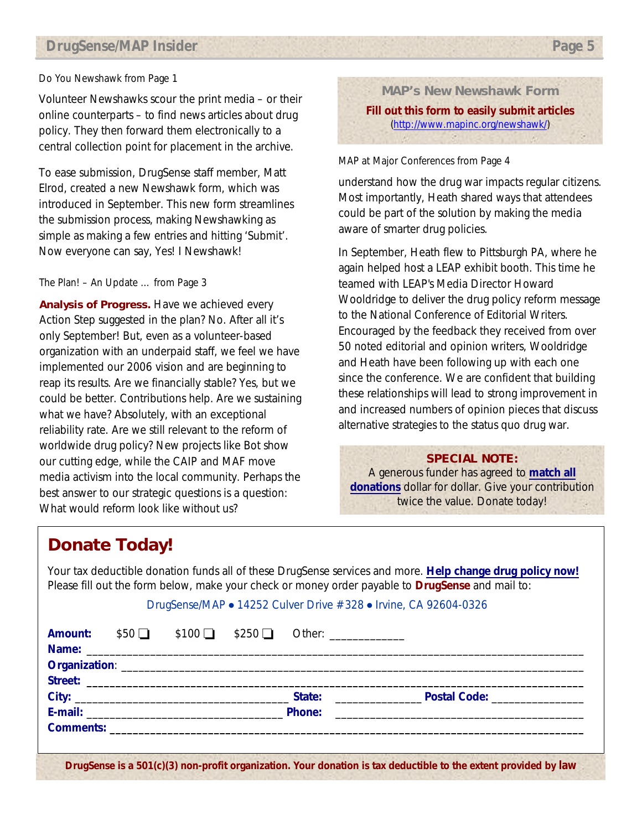## *DrugSense/MAP Insider Page 5*

#### *Do You Newshawk* from Page 1

Volunteer Newshawks scour the print media – or their online counterparts – to find news articles about drug policy. They then forward them electronically to a central collection point for placement in the archive.

To ease submission, DrugSense staff member, Matt Elrod, created a new Newshawk form, which was introduced in September. This new form streamlines the submission process, making Newshawking as simple as making a few entries and hitting 'Submit'. Now everyone can say, Yes! I Newshawk!

#### *The Plan! – An Update …* from Page 3

**Analysis of Progress.** Have we achieved every Action Step suggested in the plan? No. After all it's only September! But, even as a volunteer-based organization with an underpaid staff, we feel we have implemented our 2006 vision and are beginning to reap its results. Are we financially stable? Yes, but we could be better. Contributions help. Are we sustaining what we have? Absolutely, with an exceptional reliability rate. Are we still relevant to the reform of worldwide drug policy? New projects like Bot show our cutting edge, while the CAIP and MAF move media activism into the local community. Perhaps the best answer to our strategic questions is a question: What would reform look like without us?

**MAP's New Newshawk Form Fill out this form to easily submit articles** (http://www.mapinc.org/newshawk/)

#### *MAP at Major Conferences* from Page 4

understand how the drug war impacts regular citizens. Most importantly, Heath shared ways that attendees could be part of the solution by making the media aware of smarter drug policies.

In September, Heath flew to Pittsburgh PA, where he again helped host a LEAP exhibit booth. This time he teamed with LEAP's Media Director Howard Wooldridge to deliver the drug policy reform message to the National Conference of Editorial Writers. Encouraged by the feedback they received from over 50 noted editorial and opinion writers, Wooldridge and Heath have been following up with each one since the conference. We are confident that building these relationships will lead to strong improvement in and increased numbers of opinion pieces that discuss alternative strategies to the status quo drug war.

### **SPECIAL NOTE:**

A generous funder has agreed to **match all donations** dollar for dollar. Give your contribution twice the value. Donate today!

# **Donate Today!**

Your tax deductible donation funds all of these DrugSense services and more. **Help change drug policy now!**  Please fill out the form below, make your check or money order payable to **DrugSense** and mail to:

#### DrugSense/MAP • 14252 Culver Drive #328 • Irvine, CA 92604-0326

|  |  | <b>Amount:</b> $$50$ $$100$ $$250$ Other: |                                                                                                               |
|--|--|-------------------------------------------|---------------------------------------------------------------------------------------------------------------|
|  |  |                                           |                                                                                                               |
|  |  |                                           |                                                                                                               |
|  |  |                                           |                                                                                                               |
|  |  |                                           |                                                                                                               |
|  |  |                                           | Phone: 2008 2009 2010 2021 2022 2023 2024 2022 2022 2023 2024 2022 2023 2024 2022 2023 2024 2022 2023 2024 20 |
|  |  |                                           |                                                                                                               |
|  |  |                                           |                                                                                                               |
|  |  |                                           |                                                                                                               |

**DrugSense is a 501(c)(3) non-profit organization. Your donation is tax deductible to the extent provided by law**